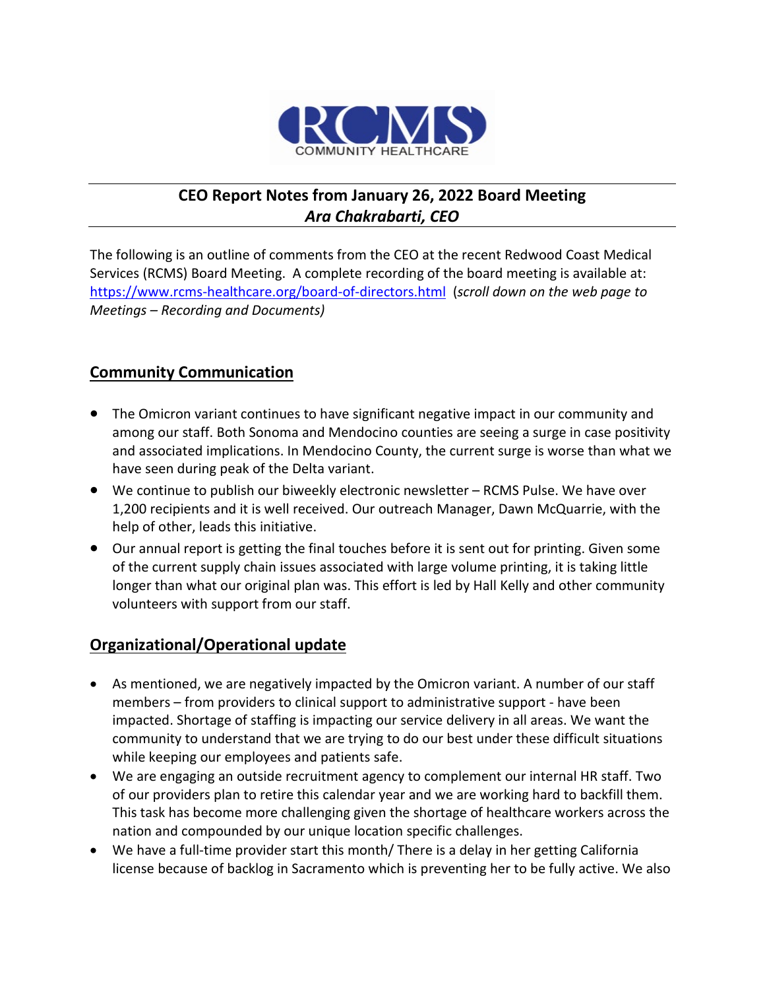

# **CEO Report Notes from January 26, 2022 Board Meeting** *Ara Chakrabarti, CEO*

The following is an outline of comments from the CEO at the recent Redwood Coast Medical Services (RCMS) Board Meeting. A complete recording of the board meeting is available at: <https://www.rcms-healthcare.org/board-of-directors.html>(*scroll down on the web page to Meetings – Recording and Documents)*

## **Community Communication**

- The Omicron variant continues to have significant negative impact in our community and among our staff. Both Sonoma and Mendocino counties are seeing a surge in case positivity and associated implications. In Mendocino County, the current surge is worse than what we have seen during peak of the Delta variant.
- We continue to publish our biweekly electronic newsletter RCMS Pulse. We have over 1,200 recipients and it is well received. Our outreach Manager, Dawn McQuarrie, with the help of other, leads this initiative.
- Our annual report is getting the final touches before it is sent out for printing. Given some of the current supply chain issues associated with large volume printing, it is taking little longer than what our original plan was. This effort is led by Hall Kelly and other community volunteers with support from our staff.

#### **Organizational/Operational update**

- As mentioned, we are negatively impacted by the Omicron variant. A number of our staff members – from providers to clinical support to administrative support - have been impacted. Shortage of staffing is impacting our service delivery in all areas. We want the community to understand that we are trying to do our best under these difficult situations while keeping our employees and patients safe.
- We are engaging an outside recruitment agency to complement our internal HR staff. Two of our providers plan to retire this calendar year and we are working hard to backfill them. This task has become more challenging given the shortage of healthcare workers across the nation and compounded by our unique location specific challenges.
- We have a full-time provider start this month/ There is a delay in her getting California license because of backlog in Sacramento which is preventing her to be fully active. We also